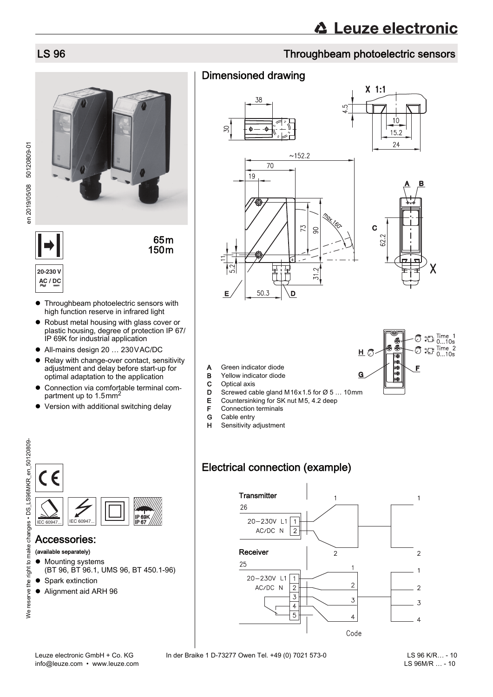# LS 96 Throughbeam photoelectric sensors

# Dimensioned drawing





Χ

- A Green indicator diode
- **B** Yellow indicator diode<br>**C** Optical axis
- C Optical axis
- **D** Screwed cable gland M16x1.5 for  $\varnothing$  5 ... 10mm
- E Countersinking for SK nut M5, 4.2 deep
- **F** Connection terminals<br>**G** Cable entry
- Cable entry
- H Sensitivity adjustment

# Electrical connection (example)



**20-230 V**

**•** Throughbeam photoelectric sensors with **AC / DC**

high function reserve in infrared light ● Robust metal housing with glass cover or

65m 150m

- plastic housing, degree of protection IP 67/ IP 69K for industrial application
- All-mains design 20 … 230VAC/DC
- Relay with change-over contact, sensitivity adjustment and delay before start-up for optimal adaptation to the application
- Connection via comfortable terminal compartment up to 1.5mm<sup>2</sup>
- Version with additional switching delay



### Accessories:

### (available separately)

- $\bullet$  Mounting systems (BT 96, BT 96.1, UMS 96, BT 450.1-96)
- Spark extinction
- Alignment aid ARH 96